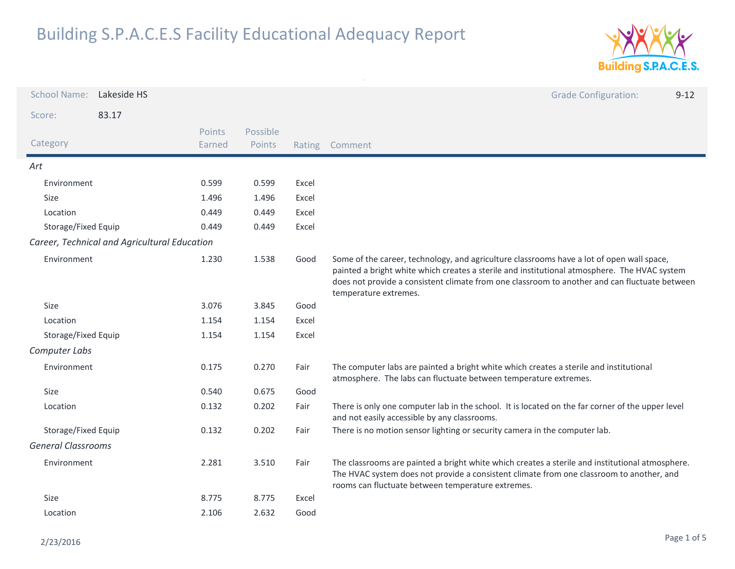

| <b>School Name:</b>       | Lakeside HS                                  |                  |                    |        | <b>Grade Configuration:</b><br>$9 - 12$                                                                                                                                                                                                                                                                             |
|---------------------------|----------------------------------------------|------------------|--------------------|--------|---------------------------------------------------------------------------------------------------------------------------------------------------------------------------------------------------------------------------------------------------------------------------------------------------------------------|
| Score:                    | 83.17                                        |                  |                    |        |                                                                                                                                                                                                                                                                                                                     |
| Category                  |                                              | Points<br>Earned | Possible<br>Points | Rating | Comment                                                                                                                                                                                                                                                                                                             |
| Art                       |                                              |                  |                    |        |                                                                                                                                                                                                                                                                                                                     |
| Environment               |                                              | 0.599            | 0.599              | Excel  |                                                                                                                                                                                                                                                                                                                     |
| <b>Size</b>               |                                              | 1.496            | 1.496              | Excel  |                                                                                                                                                                                                                                                                                                                     |
| Location                  |                                              | 0.449            | 0.449              | Excel  |                                                                                                                                                                                                                                                                                                                     |
| Storage/Fixed Equip       |                                              | 0.449            | 0.449              | Excel  |                                                                                                                                                                                                                                                                                                                     |
|                           | Career, Technical and Agricultural Education |                  |                    |        |                                                                                                                                                                                                                                                                                                                     |
| Environment               |                                              | 1.230            | 1.538              | Good   | Some of the career, technology, and agriculture classrooms have a lot of open wall space,<br>painted a bright white which creates a sterile and institutional atmosphere. The HVAC system<br>does not provide a consistent climate from one classroom to another and can fluctuate between<br>temperature extremes. |
| Size                      |                                              | 3.076            | 3.845              | Good   |                                                                                                                                                                                                                                                                                                                     |
| Location                  |                                              | 1.154            | 1.154              | Excel  |                                                                                                                                                                                                                                                                                                                     |
| Storage/Fixed Equip       |                                              | 1.154            | 1.154              | Excel  |                                                                                                                                                                                                                                                                                                                     |
| Computer Labs             |                                              |                  |                    |        |                                                                                                                                                                                                                                                                                                                     |
| Environment               |                                              | 0.175            | 0.270              | Fair   | The computer labs are painted a bright white which creates a sterile and institutional<br>atmosphere. The labs can fluctuate between temperature extremes.                                                                                                                                                          |
| Size                      |                                              | 0.540            | 0.675              | Good   |                                                                                                                                                                                                                                                                                                                     |
| Location                  |                                              | 0.132            | 0.202              | Fair   | There is only one computer lab in the school. It is located on the far corner of the upper level<br>and not easily accessible by any classrooms.                                                                                                                                                                    |
| Storage/Fixed Equip       |                                              | 0.132            | 0.202              | Fair   | There is no motion sensor lighting or security camera in the computer lab.                                                                                                                                                                                                                                          |
| <b>General Classrooms</b> |                                              |                  |                    |        |                                                                                                                                                                                                                                                                                                                     |
| Environment               |                                              | 2.281            | 3.510              | Fair   | The classrooms are painted a bright white which creates a sterile and institutional atmosphere.<br>The HVAC system does not provide a consistent climate from one classroom to another, and<br>rooms can fluctuate between temperature extremes.                                                                    |
| Size                      |                                              | 8.775            | 8.775              | Excel  |                                                                                                                                                                                                                                                                                                                     |
| Location                  |                                              | 2.106            | 2.632              | Good   |                                                                                                                                                                                                                                                                                                                     |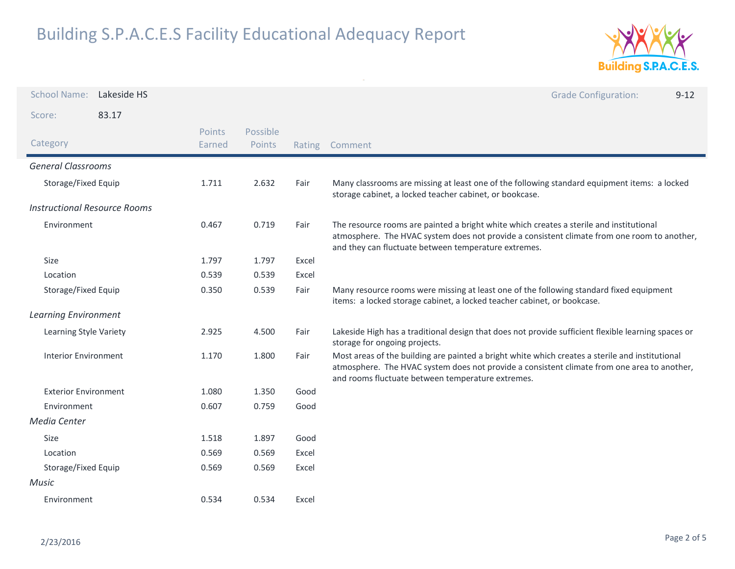

| <b>School Name:</b>                 | Lakeside HS |                  |                    |       | <b>Grade Configuration:</b><br>$9 - 12$                                                                                                                                                                                                             |
|-------------------------------------|-------------|------------------|--------------------|-------|-----------------------------------------------------------------------------------------------------------------------------------------------------------------------------------------------------------------------------------------------------|
| Score:                              | 83.17       |                  |                    |       |                                                                                                                                                                                                                                                     |
| Category                            |             | Points<br>Earned | Possible<br>Points |       | Rating Comment                                                                                                                                                                                                                                      |
| <b>General Classrooms</b>           |             |                  |                    |       |                                                                                                                                                                                                                                                     |
| Storage/Fixed Equip                 |             | 1.711            | 2.632              | Fair  | Many classrooms are missing at least one of the following standard equipment items: a locked<br>storage cabinet, a locked teacher cabinet, or bookcase.                                                                                             |
| <b>Instructional Resource Rooms</b> |             |                  |                    |       |                                                                                                                                                                                                                                                     |
| Environment                         |             | 0.467            | 0.719              | Fair  | The resource rooms are painted a bright white which creates a sterile and institutional<br>atmosphere. The HVAC system does not provide a consistent climate from one room to another,<br>and they can fluctuate between temperature extremes.      |
| Size                                |             | 1.797            | 1.797              | Excel |                                                                                                                                                                                                                                                     |
| Location                            |             | 0.539            | 0.539              | Excel |                                                                                                                                                                                                                                                     |
| Storage/Fixed Equip                 |             | 0.350            | 0.539              | Fair  | Many resource rooms were missing at least one of the following standard fixed equipment<br>items: a locked storage cabinet, a locked teacher cabinet, or bookcase.                                                                                  |
| <b>Learning Environment</b>         |             |                  |                    |       |                                                                                                                                                                                                                                                     |
| Learning Style Variety              |             | 2.925            | 4.500              | Fair  | Lakeside High has a traditional design that does not provide sufficient flexible learning spaces or<br>storage for ongoing projects.                                                                                                                |
| <b>Interior Environment</b>         |             | 1.170            | 1.800              | Fair  | Most areas of the building are painted a bright white which creates a sterile and institutional<br>atmosphere. The HVAC system does not provide a consistent climate from one area to another,<br>and rooms fluctuate between temperature extremes. |
| <b>Exterior Environment</b>         |             | 1.080            | 1.350              | Good  |                                                                                                                                                                                                                                                     |
| Environment                         |             | 0.607            | 0.759              | Good  |                                                                                                                                                                                                                                                     |
| Media Center                        |             |                  |                    |       |                                                                                                                                                                                                                                                     |
| Size                                |             | 1.518            | 1.897              | Good  |                                                                                                                                                                                                                                                     |
| Location                            |             | 0.569            | 0.569              | Excel |                                                                                                                                                                                                                                                     |
| Storage/Fixed Equip                 |             | 0.569            | 0.569              | Excel |                                                                                                                                                                                                                                                     |
| Music                               |             |                  |                    |       |                                                                                                                                                                                                                                                     |
| Environment                         |             | 0.534            | 0.534              | Excel |                                                                                                                                                                                                                                                     |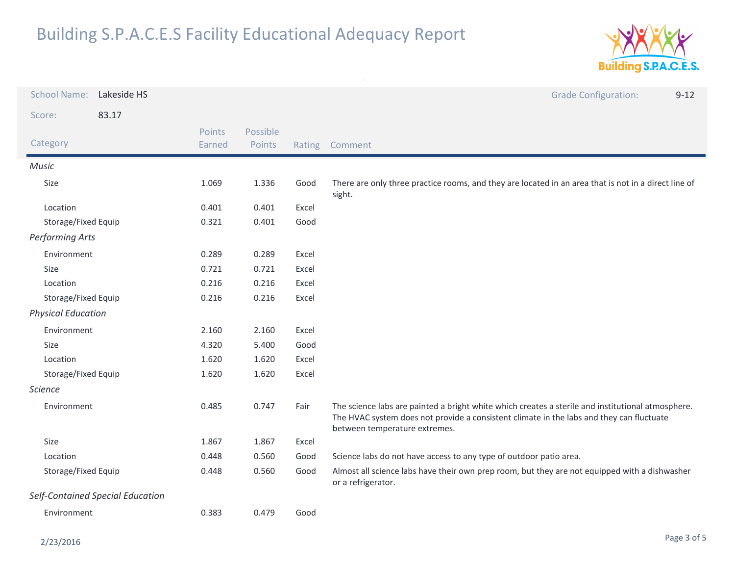

| <b>School Name:</b>              | Lakeside HS |                  |                    |        | <b>Grade Configuration:</b><br>$9 - 12$                                                                                                                                                                                        |
|----------------------------------|-------------|------------------|--------------------|--------|--------------------------------------------------------------------------------------------------------------------------------------------------------------------------------------------------------------------------------|
| Score:                           | 83.17       |                  |                    |        |                                                                                                                                                                                                                                |
| Category                         |             | Points<br>Earned | Possible<br>Points | Rating | Comment                                                                                                                                                                                                                        |
| Music                            |             |                  |                    |        |                                                                                                                                                                                                                                |
| Size                             |             | 1.069            | 1.336              | Good   | There are only three practice rooms, and they are located in an area that is not in a direct line of<br>sight.                                                                                                                 |
| Location                         |             | 0.401            | 0.401              | Excel  |                                                                                                                                                                                                                                |
| Storage/Fixed Equip              |             | 0.321            | 0.401              | Good   |                                                                                                                                                                                                                                |
| <b>Performing Arts</b>           |             |                  |                    |        |                                                                                                                                                                                                                                |
| Environment                      |             | 0.289            | 0.289              | Excel  |                                                                                                                                                                                                                                |
| <b>Size</b>                      |             | 0.721            | 0.721              | Excel  |                                                                                                                                                                                                                                |
| Location                         |             | 0.216            | 0.216              | Excel  |                                                                                                                                                                                                                                |
| Storage/Fixed Equip              |             | 0.216            | 0.216              | Excel  |                                                                                                                                                                                                                                |
| <b>Physical Education</b>        |             |                  |                    |        |                                                                                                                                                                                                                                |
| Environment                      |             | 2.160            | 2.160              | Excel  |                                                                                                                                                                                                                                |
| Size                             |             | 4.320            | 5.400              | Good   |                                                                                                                                                                                                                                |
| Location                         |             | 1.620            | 1.620              | Excel  |                                                                                                                                                                                                                                |
| Storage/Fixed Equip              |             | 1.620            | 1.620              | Excel  |                                                                                                                                                                                                                                |
| <b>Science</b>                   |             |                  |                    |        |                                                                                                                                                                                                                                |
| Environment                      |             | 0.485            | 0.747              | Fair   | The science labs are painted a bright white which creates a sterile and institutional atmosphere.<br>The HVAC system does not provide a consistent climate in the labs and they can fluctuate<br>between temperature extremes. |
| Size                             |             | 1.867            | 1.867              | Excel  |                                                                                                                                                                                                                                |
| Location                         |             | 0.448            | 0.560              | Good   | Science labs do not have access to any type of outdoor patio area.                                                                                                                                                             |
| Storage/Fixed Equip              |             | 0.448            | 0.560              | Good   | Almost all science labs have their own prep room, but they are not equipped with a dishwasher<br>or a refrigerator.                                                                                                            |
| Self-Contained Special Education |             |                  |                    |        |                                                                                                                                                                                                                                |
| Environment                      |             | 0.383            | 0.479              | Good   |                                                                                                                                                                                                                                |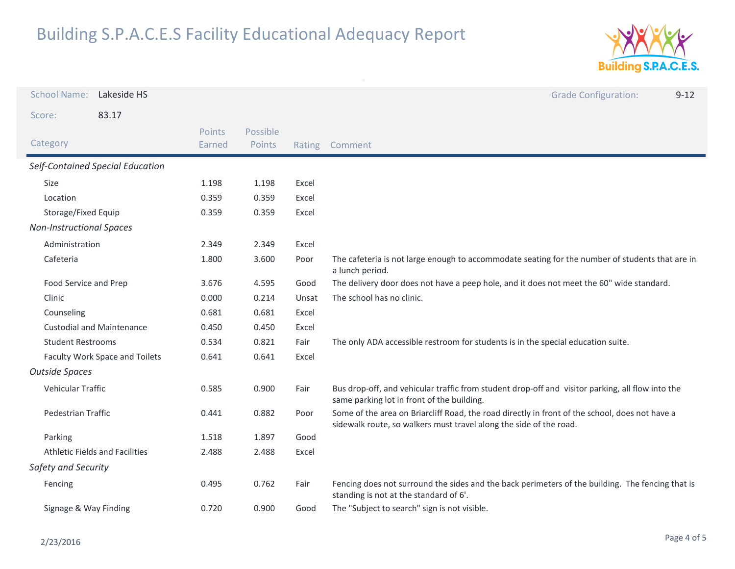

| <b>School Name:</b>                   | Lakeside HS                      |                  |                    |        | <b>Grade Configuration:</b><br>$9 - 12$                                                                                                                              |
|---------------------------------------|----------------------------------|------------------|--------------------|--------|----------------------------------------------------------------------------------------------------------------------------------------------------------------------|
| Score:                                | 83.17                            |                  |                    |        |                                                                                                                                                                      |
| Category                              |                                  | Points<br>Earned | Possible<br>Points | Rating | Comment                                                                                                                                                              |
|                                       | Self-Contained Special Education |                  |                    |        |                                                                                                                                                                      |
| <b>Size</b>                           |                                  | 1.198            | 1.198              | Excel  |                                                                                                                                                                      |
| Location                              |                                  | 0.359            | 0.359              | Excel  |                                                                                                                                                                      |
| Storage/Fixed Equip                   |                                  | 0.359            | 0.359              | Excel  |                                                                                                                                                                      |
| <b>Non-Instructional Spaces</b>       |                                  |                  |                    |        |                                                                                                                                                                      |
| Administration                        |                                  | 2.349            | 2.349              | Excel  |                                                                                                                                                                      |
| Cafeteria                             |                                  | 1.800            | 3.600              | Poor   | The cafeteria is not large enough to accommodate seating for the number of students that are in<br>a lunch period.                                                   |
| Food Service and Prep                 |                                  | 3.676            | 4.595              | Good   | The delivery door does not have a peep hole, and it does not meet the 60" wide standard.                                                                             |
| Clinic                                |                                  | 0.000            | 0.214              | Unsat  | The school has no clinic.                                                                                                                                            |
| Counseling                            |                                  | 0.681            | 0.681              | Excel  |                                                                                                                                                                      |
| <b>Custodial and Maintenance</b>      |                                  | 0.450            | 0.450              | Excel  |                                                                                                                                                                      |
| <b>Student Restrooms</b>              |                                  | 0.534            | 0.821              | Fair   | The only ADA accessible restroom for students is in the special education suite.                                                                                     |
| Faculty Work Space and Toilets        |                                  | 0.641            | 0.641              | Excel  |                                                                                                                                                                      |
| <b>Outside Spaces</b>                 |                                  |                  |                    |        |                                                                                                                                                                      |
| Vehicular Traffic                     |                                  | 0.585            | 0.900              | Fair   | Bus drop-off, and vehicular traffic from student drop-off and visitor parking, all flow into the<br>same parking lot in front of the building.                       |
| Pedestrian Traffic                    |                                  | 0.441            | 0.882              | Poor   | Some of the area on Briarcliff Road, the road directly in front of the school, does not have a<br>sidewalk route, so walkers must travel along the side of the road. |
| Parking                               |                                  | 1.518            | 1.897              | Good   |                                                                                                                                                                      |
| <b>Athletic Fields and Facilities</b> |                                  | 2.488            | 2.488              | Excel  |                                                                                                                                                                      |
| Safety and Security                   |                                  |                  |                    |        |                                                                                                                                                                      |
| Fencing                               |                                  | 0.495            | 0.762              | Fair   | Fencing does not surround the sides and the back perimeters of the building. The fencing that is<br>standing is not at the standard of 6'.                           |
| Signage & Way Finding                 |                                  | 0.720            | 0.900              | Good   | The "Subject to search" sign is not visible.                                                                                                                         |